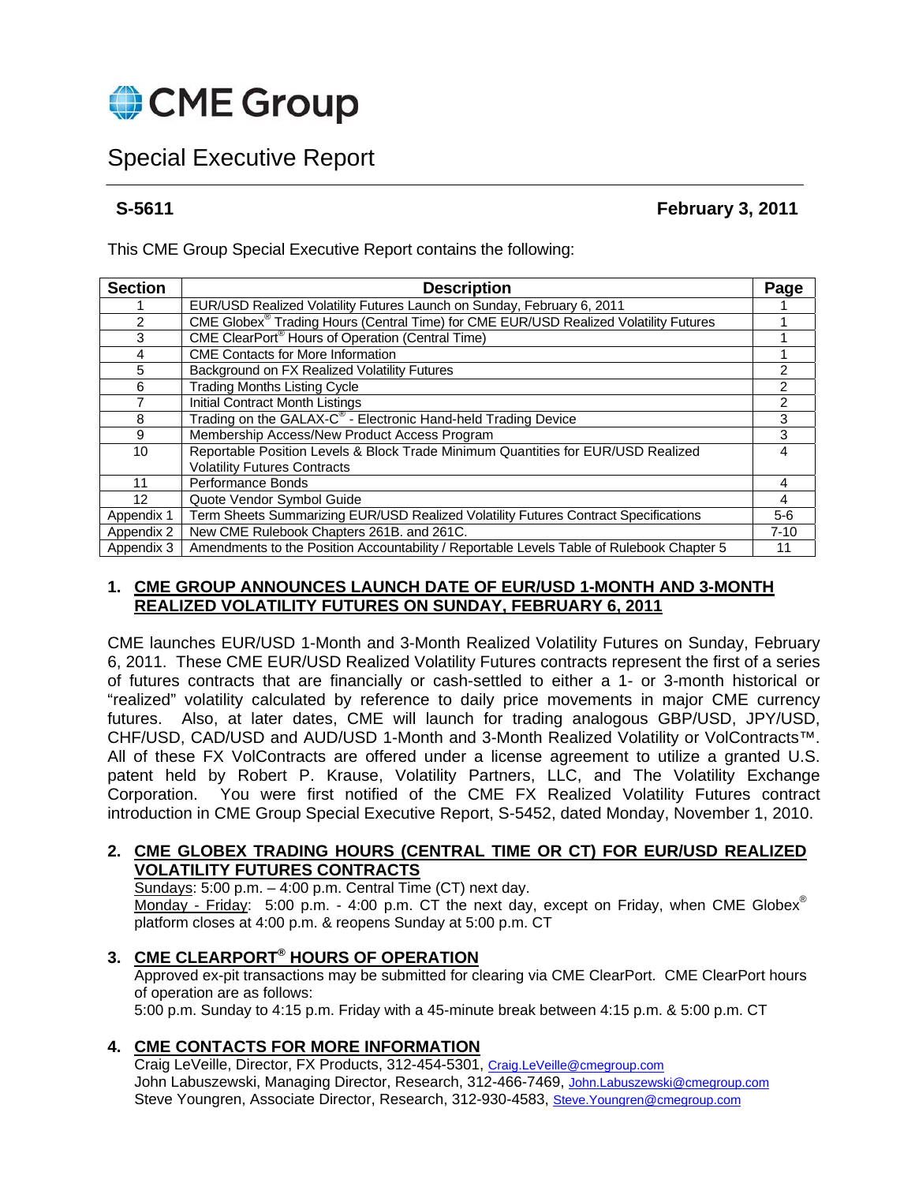

# Special Executive Report

**S-5611 February 3, 2011** 

This CME Group Special Executive Report contains the following:

| <b>Section</b>    | <b>Description</b>                                                                        | Page     |
|-------------------|-------------------------------------------------------------------------------------------|----------|
|                   | EUR/USD Realized Volatility Futures Launch on Sunday, February 6, 2011                    |          |
| 2                 | CME Globex® Trading Hours (Central Time) for CME EUR/USD Realized Volatility Futures      |          |
| 3                 | CME ClearPort <sup>®</sup> Hours of Operation (Central Time)                              |          |
| 4                 | <b>CME Contacts for More Information</b>                                                  |          |
| 5                 | Background on FX Realized Volatility Futures                                              |          |
| 6                 | <b>Trading Months Listing Cycle</b>                                                       |          |
|                   | Initial Contract Month Listings                                                           | 2        |
| 8                 | Trading on the GALAX-C <sup>®</sup> - Electronic Hand-held Trading Device                 | 3        |
| 9                 | Membership Access/New Product Access Program                                              | 3        |
| 10                | Reportable Position Levels & Block Trade Minimum Quantities for EUR/USD Realized          | 4        |
|                   | <b>Volatility Futures Contracts</b>                                                       |          |
| 11                | Performance Bonds                                                                         | 4        |
| $12 \overline{ }$ | Quote Vendor Symbol Guide                                                                 | 4        |
| Appendix 1        | Term Sheets Summarizing EUR/USD Realized Volatility Futures Contract Specifications       | $5-6$    |
| Appendix 2        | New CME Rulebook Chapters 261B. and 261C.                                                 | $7 - 10$ |
| Appendix 3        | Amendments to the Position Accountability / Reportable Levels Table of Rulebook Chapter 5 | 11       |

## **1. CME GROUP ANNOUNCES LAUNCH DATE OF EUR/USD 1-MONTH AND 3-MONTH REALIZED VOLATILITY FUTURES ON SUNDAY, FEBRUARY 6, 2011**

CME launches EUR/USD 1-Month and 3-Month Realized Volatility Futures on Sunday, February 6, 2011. These CME EUR/USD Realized Volatility Futures contracts represent the first of a series of futures contracts that are financially or cash-settled to either a 1- or 3-month historical or "realized" volatility calculated by reference to daily price movements in major CME currency futures. Also, at later dates, CME will launch for trading analogous GBP/USD, JPY/USD, CHF/USD, CAD/USD and AUD/USD 1-Month and 3-Month Realized Volatility or VolContracts™. All of these FX VolContracts are offered under a license agreement to utilize a granted U.S. patent held by Robert P. Krause, Volatility Partners, LLC, and The Volatility Exchange Corporation. You were first notified of the CME FX Realized Volatility Futures contract introduction in CME Group Special Executive Report, S-5452, dated Monday, November 1, 2010.

## **2. CME GLOBEX TRADING HOURS (CENTRAL TIME OR CT) FOR EUR/USD REALIZED VOLATILITY FUTURES CONTRACTS**

Sundays:  $5:00$  p.m.  $-4:00$  p.m. Central Time (CT) next day. Monday - Friday: 5:00 p.m. - 4:00 p.m. CT the next day, except on Friday, when CME Globex<sup>®</sup> platform closes at 4:00 p.m. & reopens Sunday at 5:00 p.m. CT

## **3. CME CLEARPORT® HOURS OF OPERATION**

 Approved ex-pit transactions may be submitted for clearing via CME ClearPort. CME ClearPort hours of operation are as follows:

5:00 p.m. Sunday to 4:15 p.m. Friday with a 45-minute break between 4:15 p.m. & 5:00 p.m. CT

## **4. CME CONTACTS FOR MORE INFORMATION**

Craig LeVeille, Director, FX Products, 312-454-5301, Craig.LeVeille@cmegroup.com John Labuszewski, Managing Director, Research, 312-466-7469, John.Labuszewski@cmegroup.com Steve Youngren, Associate Director, Research, 312-930-4583, Steve.Youngren@cmegroup.com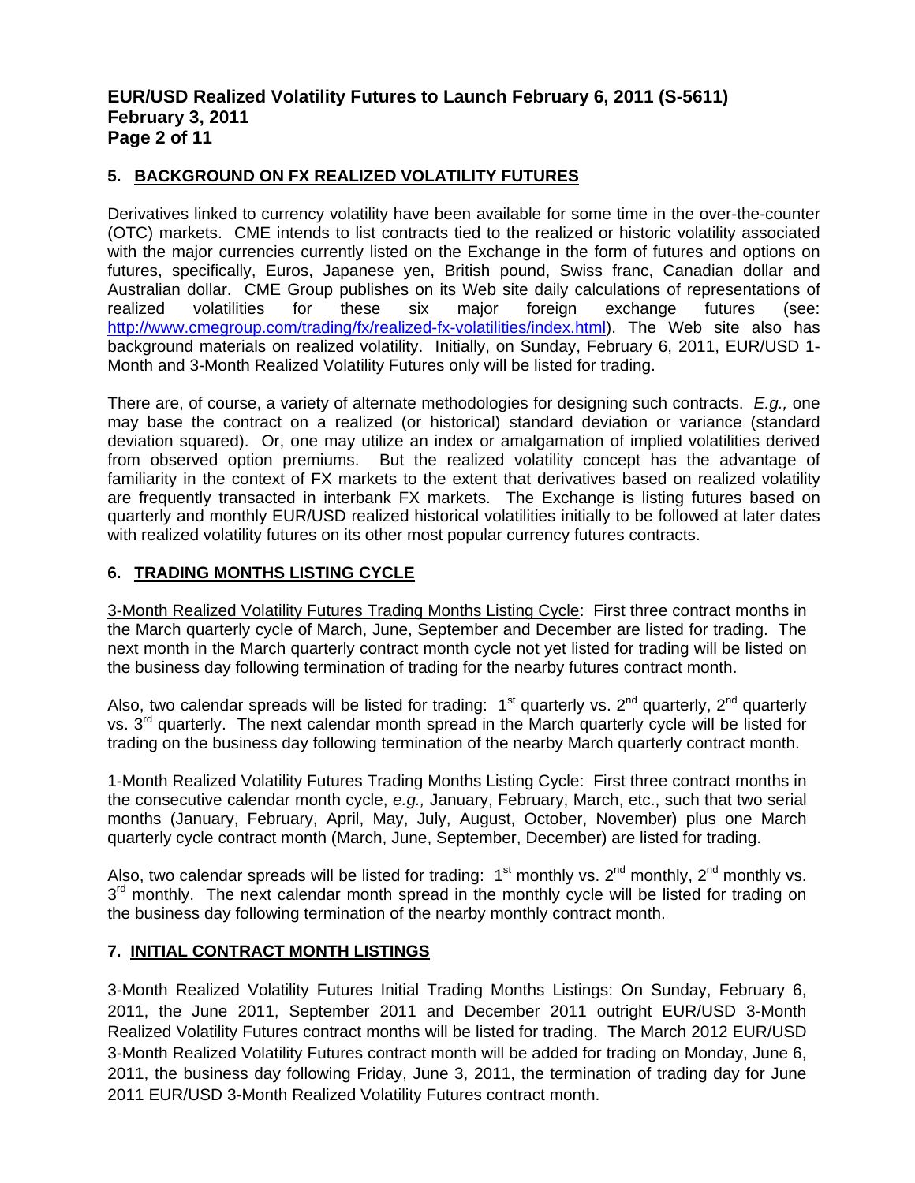## **EUR/USD Realized Volatility Futures to Launch February 6, 2011 (S-5611) February 3, 2011 Page 2 of 11**

## **5. BACKGROUND ON FX REALIZED VOLATILITY FUTURES**

Derivatives linked to currency volatility have been available for some time in the over-the-counter (OTC) markets. CME intends to list contracts tied to the realized or historic volatility associated with the major currencies currently listed on the Exchange in the form of futures and options on futures, specifically, Euros, Japanese yen, British pound, Swiss franc, Canadian dollar and Australian dollar. CME Group publishes on its Web site daily calculations of representations of realized volatilities for these six major foreign exchange futures (see: http://www.cmegroup.com/trading/fx/realized-fx-volatilities/index.html). The Web site also has background materials on realized volatility. Initially, on Sunday, February 6, 2011, EUR/USD 1- Month and 3-Month Realized Volatility Futures only will be listed for trading.

There are, of course, a variety of alternate methodologies for designing such contracts. *E.g.,* one may base the contract on a realized (or historical) standard deviation or variance (standard deviation squared). Or, one may utilize an index or amalgamation of implied volatilities derived from observed option premiums. But the realized volatility concept has the advantage of familiarity in the context of FX markets to the extent that derivatives based on realized volatility are frequently transacted in interbank FX markets. The Exchange is listing futures based on quarterly and monthly EUR/USD realized historical volatilities initially to be followed at later dates with realized volatility futures on its other most popular currency futures contracts.

## **6. TRADING MONTHS LISTING CYCLE**

3-Month Realized Volatility Futures Trading Months Listing Cycle: First three contract months in the March quarterly cycle of March, June, September and December are listed for trading. The next month in the March quarterly contract month cycle not yet listed for trading will be listed on the business day following termination of trading for the nearby futures contract month.

Also, two calendar spreads will be listed for trading:  $1<sup>st</sup>$  quarterly vs.  $2<sup>nd</sup>$  quarterly,  $2<sup>nd</sup>$  quarterly vs. 3<sup>rd</sup> quarterly. The next calendar month spread in the March quarterly cycle will be listed for trading on the business day following termination of the nearby March quarterly contract month.

1-Month Realized Volatility Futures Trading Months Listing Cycle: First three contract months in the consecutive calendar month cycle, *e.g.,* January, February, March, etc., such that two serial months (January, February, April, May, July, August, October, November) plus one March quarterly cycle contract month (March, June, September, December) are listed for trading.

Also, two calendar spreads will be listed for trading:  $1<sup>st</sup>$  monthly vs.  $2<sup>nd</sup>$  monthly vs.  $3<sup>rd</sup>$  monthly. The next calendar month spread in the monthly cycle will be listed for trading on the business day following termination of the nearby monthly contract month.

## **7. INITIAL CONTRACT MONTH LISTINGS**

3-Month Realized Volatility Futures Initial Trading Months Listings: On Sunday, February 6, 2011, the June 2011, September 2011 and December 2011 outright EUR/USD 3-Month Realized Volatility Futures contract months will be listed for trading. The March 2012 EUR/USD 3-Month Realized Volatility Futures contract month will be added for trading on Monday, June 6, 2011, the business day following Friday, June 3, 2011, the termination of trading day for June 2011 EUR/USD 3-Month Realized Volatility Futures contract month.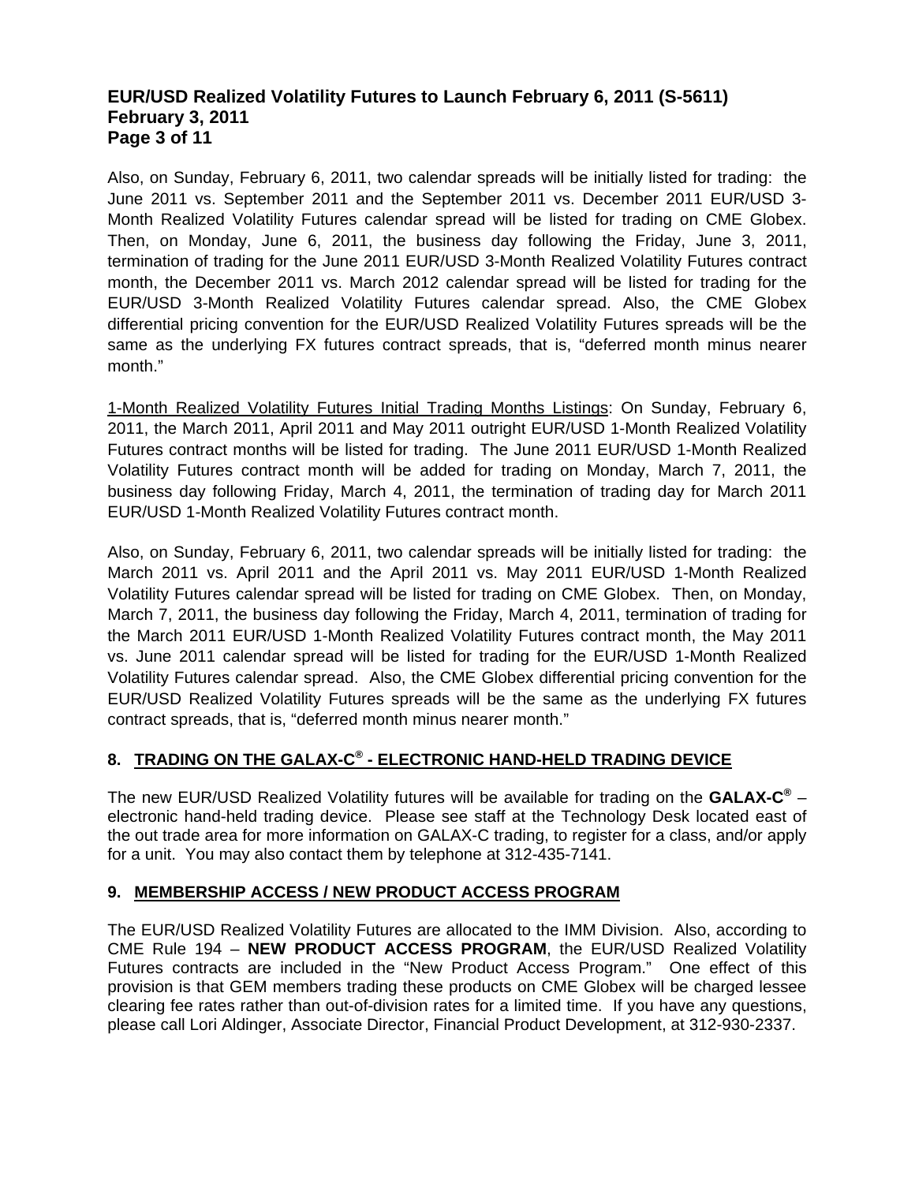## **EUR/USD Realized Volatility Futures to Launch February 6, 2011 (S-5611) February 3, 2011 Page 3 of 11**

Also, on Sunday, February 6, 2011, two calendar spreads will be initially listed for trading: the June 2011 vs. September 2011 and the September 2011 vs. December 2011 EUR/USD 3- Month Realized Volatility Futures calendar spread will be listed for trading on CME Globex. Then, on Monday, June 6, 2011, the business day following the Friday, June 3, 2011, termination of trading for the June 2011 EUR/USD 3-Month Realized Volatility Futures contract month, the December 2011 vs. March 2012 calendar spread will be listed for trading for the EUR/USD 3-Month Realized Volatility Futures calendar spread. Also, the CME Globex differential pricing convention for the EUR/USD Realized Volatility Futures spreads will be the same as the underlying FX futures contract spreads, that is, "deferred month minus nearer month."

1-Month Realized Volatility Futures Initial Trading Months Listings: On Sunday, February 6, 2011, the March 2011, April 2011 and May 2011 outright EUR/USD 1-Month Realized Volatility Futures contract months will be listed for trading. The June 2011 EUR/USD 1-Month Realized Volatility Futures contract month will be added for trading on Monday, March 7, 2011, the business day following Friday, March 4, 2011, the termination of trading day for March 2011 EUR/USD 1-Month Realized Volatility Futures contract month.

Also, on Sunday, February 6, 2011, two calendar spreads will be initially listed for trading: the March 2011 vs. April 2011 and the April 2011 vs. May 2011 EUR/USD 1-Month Realized Volatility Futures calendar spread will be listed for trading on CME Globex. Then, on Monday, March 7, 2011, the business day following the Friday, March 4, 2011, termination of trading for the March 2011 EUR/USD 1-Month Realized Volatility Futures contract month, the May 2011 vs. June 2011 calendar spread will be listed for trading for the EUR/USD 1-Month Realized Volatility Futures calendar spread. Also, the CME Globex differential pricing convention for the EUR/USD Realized Volatility Futures spreads will be the same as the underlying FX futures contract spreads, that is, "deferred month minus nearer month."

## **8. TRADING ON THE GALAX-C® - ELECTRONIC HAND-HELD TRADING DEVICE**

The new EUR/USD Realized Volatility futures will be available for trading on the **GALAX-C®** – electronic hand-held trading device. Please see staff at the Technology Desk located east of the out trade area for more information on GALAX-C trading, to register for a class, and/or apply for a unit. You may also contact them by telephone at 312-435-7141.

## **9. MEMBERSHIP ACCESS / NEW PRODUCT ACCESS PROGRAM**

The EUR/USD Realized Volatility Futures are allocated to the IMM Division. Also, according to CME Rule 194 – **NEW PRODUCT ACCESS PROGRAM**, the EUR/USD Realized Volatility Futures contracts are included in the "New Product Access Program." One effect of this provision is that GEM members trading these products on CME Globex will be charged lessee clearing fee rates rather than out-of-division rates for a limited time. If you have any questions, please call Lori Aldinger, Associate Director, Financial Product Development, at 312-930-2337.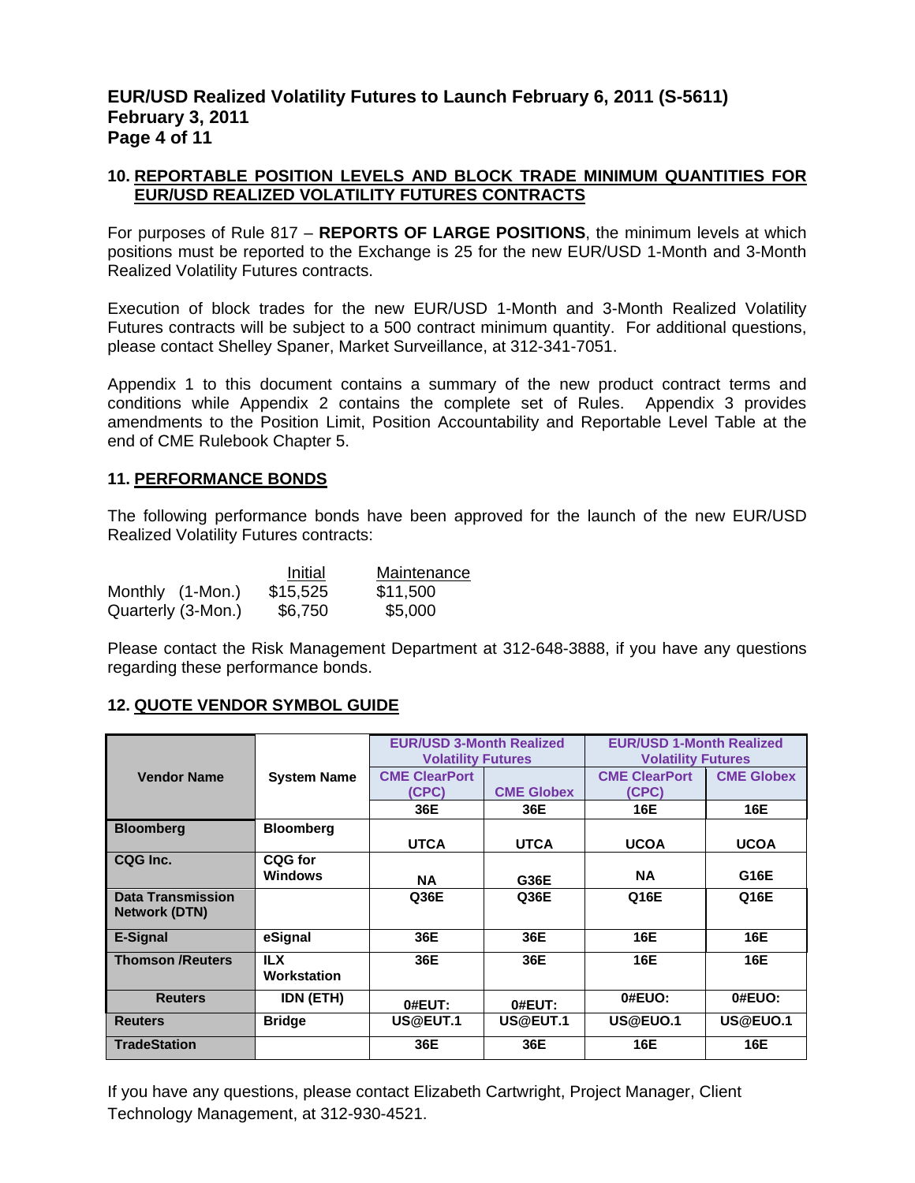## **EUR/USD Realized Volatility Futures to Launch February 6, 2011 (S-5611) February 3, 2011 Page 4 of 11**

### **10. REPORTABLE POSITION LEVELS AND BLOCK TRADE MINIMUM QUANTITIES FOR EUR/USD REALIZED VOLATILITY FUTURES CONTRACTS**

For purposes of Rule 817 – **REPORTS OF LARGE POSITIONS**, the minimum levels at which positions must be reported to the Exchange is 25 for the new EUR/USD 1-Month and 3-Month Realized Volatility Futures contracts.

Execution of block trades for the new EUR/USD 1-Month and 3-Month Realized Volatility Futures contracts will be subject to a 500 contract minimum quantity. For additional questions, please contact Shelley Spaner, Market Surveillance, at 312-341-7051.

Appendix 1 to this document contains a summary of the new product contract terms and conditions while Appendix 2 contains the complete set of Rules. Appendix 3 provides amendments to the Position Limit, Position Accountability and Reportable Level Table at the end of CME Rulebook Chapter 5.

#### **11. PERFORMANCE BONDS**

The following performance bonds have been approved for the launch of the new EUR/USD Realized Volatility Futures contracts:

|                    | Initial  | Maintenance |
|--------------------|----------|-------------|
| Monthly (1-Mon.)   | \$15,525 | \$11,500    |
| Quarterly (3-Mon.) | \$6,750  | \$5,000     |

Please contact the Risk Management Department at 312-648-3888, if you have any questions regarding these performance bonds.

## **12. QUOTE VENDOR SYMBOL GUIDE**

|                                           | <b>System Name</b>        | <b>EUR/USD 3-Month Realized</b><br><b>Volatility Futures</b> |                   | <b>EUR/USD 1-Month Realized</b><br><b>Volatility Futures</b> |                   |  |
|-------------------------------------------|---------------------------|--------------------------------------------------------------|-------------------|--------------------------------------------------------------|-------------------|--|
| <b>Vendor Name</b>                        |                           | <b>CME ClearPort</b>                                         |                   | <b>CME ClearPort</b>                                         | <b>CME Globex</b> |  |
|                                           |                           | <b>CPC)</b>                                                  | <b>CME Globex</b> | (CPC)                                                        |                   |  |
|                                           |                           | 36E                                                          | 36E               | 16E                                                          | 16E               |  |
| <b>Bloomberg</b>                          | <b>Bloomberg</b>          |                                                              |                   |                                                              |                   |  |
|                                           |                           | <b>UTCA</b>                                                  | <b>UTCA</b>       | <b>UCOA</b>                                                  | <b>UCOA</b>       |  |
| CQG Inc.                                  | CQG for                   |                                                              |                   |                                                              |                   |  |
|                                           | <b>Windows</b>            | <b>NA</b>                                                    | G36E              | <b>NA</b>                                                    | G16E              |  |
| Data Transmission<br><b>Network (DTN)</b> |                           | Q36E                                                         | Q36E              | Q16E                                                         | Q16E              |  |
| E-Signal                                  | eSignal                   | 36E                                                          | 36E               | 16E                                                          | 16E               |  |
| <b>Thomson /Reuters</b>                   | <b>ILX</b><br>Workstation | 36E                                                          | 36E               | 16E                                                          | 16E               |  |
| <b>Reuters</b>                            | <b>IDN (ETH)</b>          | 0#EUT:                                                       | 0#EUT:            | 0#EUO:                                                       | 0#EUO:            |  |
| <b>Reuters</b>                            | <b>Bridge</b>             | US@EUT.1                                                     | US@EUT.1          | US@EUO.1                                                     | US@EUO.1          |  |
| <b>TradeStation</b>                       |                           | 36E                                                          | 36E               | 16E                                                          | 16E               |  |

If you have any questions, please contact Elizabeth Cartwright, Project Manager, Client Technology Management, at 312-930-4521.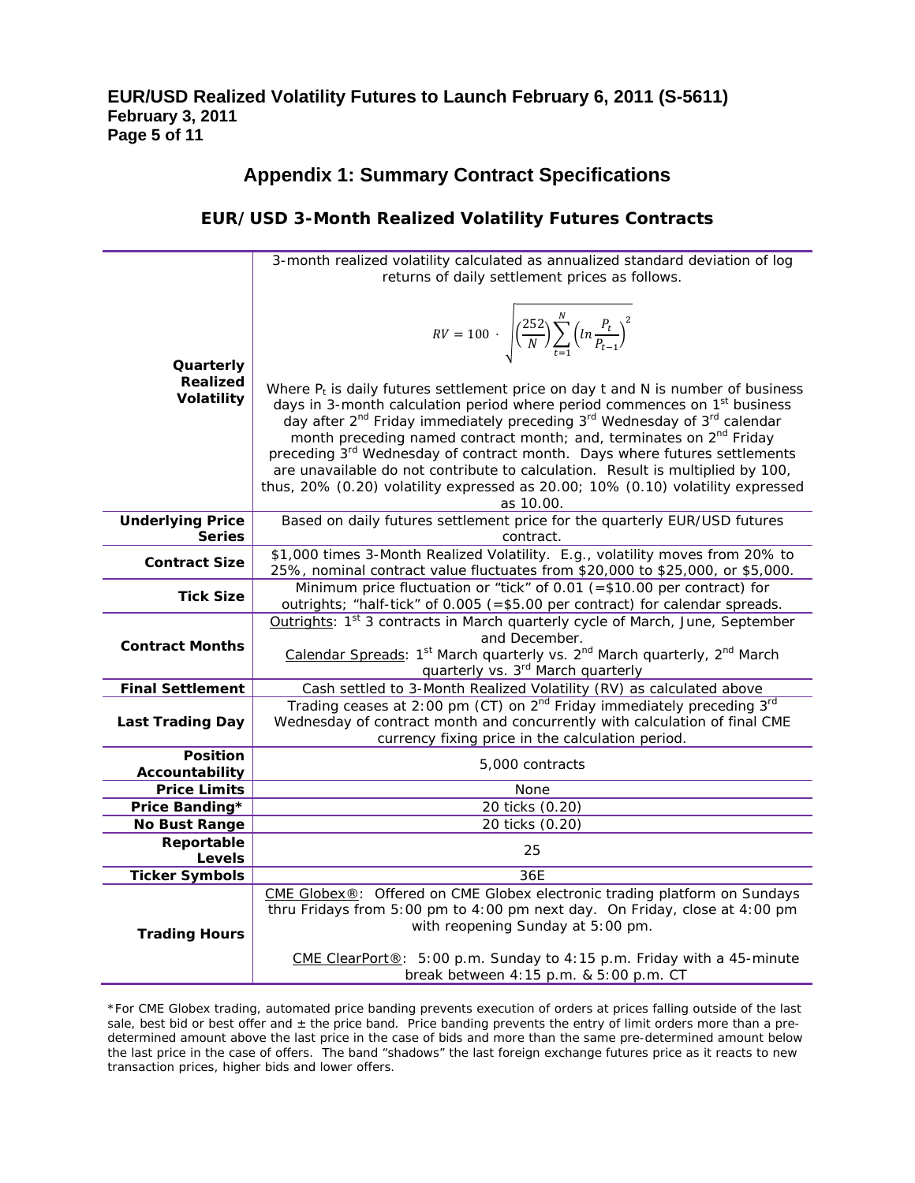# **Appendix 1: Summary Contract Specifications**

## **EUR/USD 3-Month Realized Volatility Futures Contracts**

|                             | 3-month realized volatility calculated as annualized standard deviation of log                                                                                 |  |  |  |  |  |
|-----------------------------|----------------------------------------------------------------------------------------------------------------------------------------------------------------|--|--|--|--|--|
|                             | returns of daily settlement prices as follows.                                                                                                                 |  |  |  |  |  |
|                             |                                                                                                                                                                |  |  |  |  |  |
|                             |                                                                                                                                                                |  |  |  |  |  |
|                             | $RV = 100 \cdot \sqrt{\left(\frac{252}{N}\right) \sum_{t=1}^{N} \left(ln \frac{P_t}{P_{t-1}}\right)^2}$                                                        |  |  |  |  |  |
|                             |                                                                                                                                                                |  |  |  |  |  |
| Quarterly                   |                                                                                                                                                                |  |  |  |  |  |
| <b>Realized</b>             |                                                                                                                                                                |  |  |  |  |  |
| Volatility                  | Where $P_t$ is daily futures settlement price on day t and N is number of business                                                                             |  |  |  |  |  |
|                             | days in 3-month calculation period where period commences on 1 <sup>st</sup> business                                                                          |  |  |  |  |  |
|                             | day after 2 <sup>nd</sup> Friday immediately preceding 3 <sup>rd</sup> Wednesday of 3 <sup>rd</sup> calendar                                                   |  |  |  |  |  |
|                             | month preceding named contract month; and, terminates on 2 <sup>nd</sup> Friday                                                                                |  |  |  |  |  |
|                             | preceding 3rd Wednesday of contract month. Days where futures settlements                                                                                      |  |  |  |  |  |
|                             | are unavailable do not contribute to calculation. Result is multiplied by 100,                                                                                 |  |  |  |  |  |
|                             | thus, 20% (0.20) volatility expressed as 20.00; 10% (0.10) volatility expressed                                                                                |  |  |  |  |  |
|                             | as 10.00.                                                                                                                                                      |  |  |  |  |  |
| <b>Underlying Price</b>     | Based on daily futures settlement price for the quarterly EUR/USD futures                                                                                      |  |  |  |  |  |
| <b>Series</b>               | contract.                                                                                                                                                      |  |  |  |  |  |
| <b>Contract Size</b>        | \$1,000 times 3-Month Realized Volatility. E.g., volatility moves from 20% to<br>25%, nominal contract value fluctuates from \$20,000 to \$25,000, or \$5,000. |  |  |  |  |  |
|                             | Minimum price fluctuation or "tick" of 0.01 (= $$10.00$ per contract) for                                                                                      |  |  |  |  |  |
| <b>Tick Size</b>            | outrights; "half-tick" of 0.005 (=\$5.00 per contract) for calendar spreads.                                                                                   |  |  |  |  |  |
|                             | Outrights: 1 <sup>st</sup> 3 contracts in March quarterly cycle of March, June, September                                                                      |  |  |  |  |  |
|                             | and December.                                                                                                                                                  |  |  |  |  |  |
| <b>Contract Months</b>      | Calendar Spreads: 1st March quarterly vs. 2nd March quarterly, 2nd March                                                                                       |  |  |  |  |  |
|                             | quarterly vs. 3 <sup>rd</sup> March quarterly                                                                                                                  |  |  |  |  |  |
| <b>Final Settlement</b>     | Cash settled to 3-Month Realized Volatility (RV) as calculated above                                                                                           |  |  |  |  |  |
|                             | Trading ceases at 2:00 pm (CT) on 2 <sup>nd</sup> Friday immediately preceding 3 <sup>rd</sup>                                                                 |  |  |  |  |  |
| <b>Last Trading Day</b>     | Wednesday of contract month and concurrently with calculation of final CME                                                                                     |  |  |  |  |  |
|                             | currency fixing price in the calculation period.                                                                                                               |  |  |  |  |  |
| <b>Position</b>             | 5,000 contracts                                                                                                                                                |  |  |  |  |  |
| Accountability              |                                                                                                                                                                |  |  |  |  |  |
| <b>Price Limits</b>         | None                                                                                                                                                           |  |  |  |  |  |
| Price Banding*              | 20 ticks (0.20)                                                                                                                                                |  |  |  |  |  |
| No Bust Range<br>Reportable | 20 ticks (0.20)                                                                                                                                                |  |  |  |  |  |
| <b>Levels</b>               | 25                                                                                                                                                             |  |  |  |  |  |
| <b>Ticker Symbols</b>       | 36E                                                                                                                                                            |  |  |  |  |  |
|                             | CME Globex®: Offered on CME Globex electronic trading platform on Sundays                                                                                      |  |  |  |  |  |
|                             | thru Fridays from 5:00 pm to 4:00 pm next day. On Friday, close at 4:00 pm                                                                                     |  |  |  |  |  |
|                             | with reopening Sunday at 5:00 pm.                                                                                                                              |  |  |  |  |  |
| <b>Trading Hours</b>        |                                                                                                                                                                |  |  |  |  |  |
|                             | CME ClearPort®: 5:00 p.m. Sunday to 4:15 p.m. Friday with a 45-minute                                                                                          |  |  |  |  |  |
|                             | break between 4:15 p.m. & 5:00 p.m. CT                                                                                                                         |  |  |  |  |  |

<sup>\*</sup>For CME Globex trading, automated price banding prevents execution of orders at prices falling outside of the last sale, best bid or best offer and  $\pm$  the price band. Price banding prevents the entry of limit orders more than a predetermined amount above the last price in the case of bids and more than the same pre-determined amount below the last price in the case of offers. The band "shadows" the last foreign exchange futures price as it reacts to new transaction prices, higher bids and lower offers.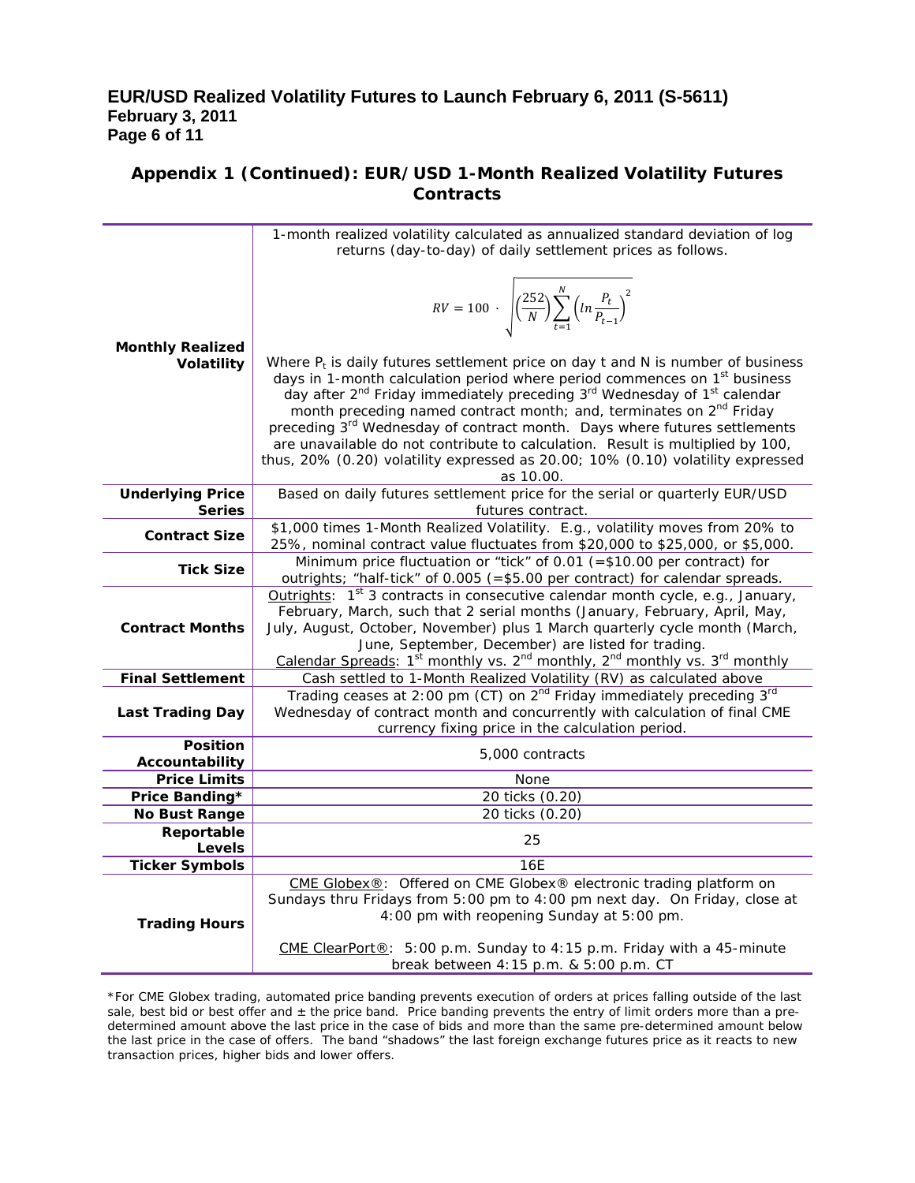## **EUR/USD Realized Volatility Futures to Launch February 6, 2011 (S-5611) February 3, 2011 Page 6 of 11**

## **Appendix 1 (Continued): EUR/USD 1-Month Realized Volatility Futures Contracts**

|                                       | 1-month realized volatility calculated as annualized standard deviation of log                                             |
|---------------------------------------|----------------------------------------------------------------------------------------------------------------------------|
|                                       | returns (day-to-day) of daily settlement prices as follows.                                                                |
|                                       |                                                                                                                            |
|                                       |                                                                                                                            |
|                                       |                                                                                                                            |
|                                       |                                                                                                                            |
|                                       | $RV = 100 \cdot \sqrt{\left(\frac{252}{N}\right) \sum_{t=1}^{N} \left(ln \frac{P_t}{P_{t-1}}\right)^2}$                    |
| <b>Monthly Realized</b>               |                                                                                                                            |
| Volatility                            | Where $P_t$ is daily futures settlement price on day t and N is number of business                                         |
|                                       | days in 1-month calculation period where period commences on 1 <sup>st</sup> business                                      |
|                                       | day after 2 <sup>nd</sup> Friday immediately preceding 3 <sup>rd</sup> Wednesday of 1 <sup>st</sup> calendar               |
|                                       | month preceding named contract month; and, terminates on 2 <sup>nd</sup> Friday                                            |
|                                       | preceding 3 <sup>rd</sup> Wednesday of contract month. Days where futures settlements                                      |
|                                       | are unavailable do not contribute to calculation. Result is multiplied by 100,                                             |
|                                       | thus, 20% (0.20) volatility expressed as 20.00; 10% (0.10) volatility expressed                                            |
|                                       | as 10.00.                                                                                                                  |
| <b>Underlying Price</b>               | Based on daily futures settlement price for the serial or quarterly EUR/USD                                                |
| <b>Series</b>                         | futures contract.                                                                                                          |
| <b>Contract Size</b>                  | \$1,000 times 1-Month Realized Volatility. E.g., volatility moves from 20% to                                              |
|                                       | 25%, nominal contract value fluctuates from \$20,000 to \$25,000, or \$5,000.                                              |
| <b>Tick Size</b>                      | Minimum price fluctuation or "tick" of 0.01 (=\$10.00 per contract) for                                                    |
|                                       | outrights; "half-tick" of 0.005 (=\$5.00 per contract) for calendar spreads.                                               |
|                                       | Outrights: $1st$ 3 contracts in consecutive calendar month cycle, e.g., January,                                           |
|                                       | February, March, such that 2 serial months (January, February, April, May,                                                 |
| <b>Contract Months</b>                | July, August, October, November) plus 1 March quarterly cycle month (March,                                                |
|                                       | June, September, December) are listed for trading.                                                                         |
|                                       | Calendar Spreads: 1 <sup>st</sup> monthly vs. 2 <sup>nd</sup> monthly, 2 <sup>nd</sup> monthly vs. 3 <sup>rd</sup> monthly |
| <b>Final Settlement</b>               | Cash settled to 1-Month Realized Volatility (RV) as calculated above                                                       |
|                                       | Trading ceases at 2:00 pm (CT) on 2 <sup>nd</sup> Friday immediately preceding 3 <sup>rd</sup>                             |
| Last Trading Day                      | Wednesday of contract month and concurrently with calculation of final CME                                                 |
|                                       | currency fixing price in the calculation period.                                                                           |
| <b>Position</b>                       | 5,000 contracts                                                                                                            |
| Accountability                        |                                                                                                                            |
| <b>Price Limits</b><br>Price Banding* | None<br>20 ticks (0.20)                                                                                                    |
| No Bust Range                         | 20 ticks (0.20)                                                                                                            |
| Reportable                            |                                                                                                                            |
| <b>Levels</b>                         | 25                                                                                                                         |
| <b>Ticker Symbols</b>                 | 16E                                                                                                                        |
|                                       | CME Globex®: Offered on CME Globex® electronic trading platform on                                                         |
|                                       | Sundays thru Fridays from 5:00 pm to 4:00 pm next day. On Friday, close at                                                 |
|                                       | 4:00 pm with reopening Sunday at 5:00 pm.                                                                                  |
| <b>Trading Hours</b>                  |                                                                                                                            |
|                                       | CME ClearPort®: 5:00 p.m. Sunday to 4:15 p.m. Friday with a 45-minute                                                      |
|                                       | break between 4:15 p.m. & 5:00 p.m. CT                                                                                     |

\*For CME Globex trading, automated price banding prevents execution of orders at prices falling outside of the last sale, best bid or best offer and  $\pm$  the price band. Price banding prevents the entry of limit orders more than a predetermined amount above the last price in the case of bids and more than the same pre-determined amount below the last price in the case of offers. The band "shadows" the last foreign exchange futures price as it reacts to new transaction prices, higher bids and lower offers.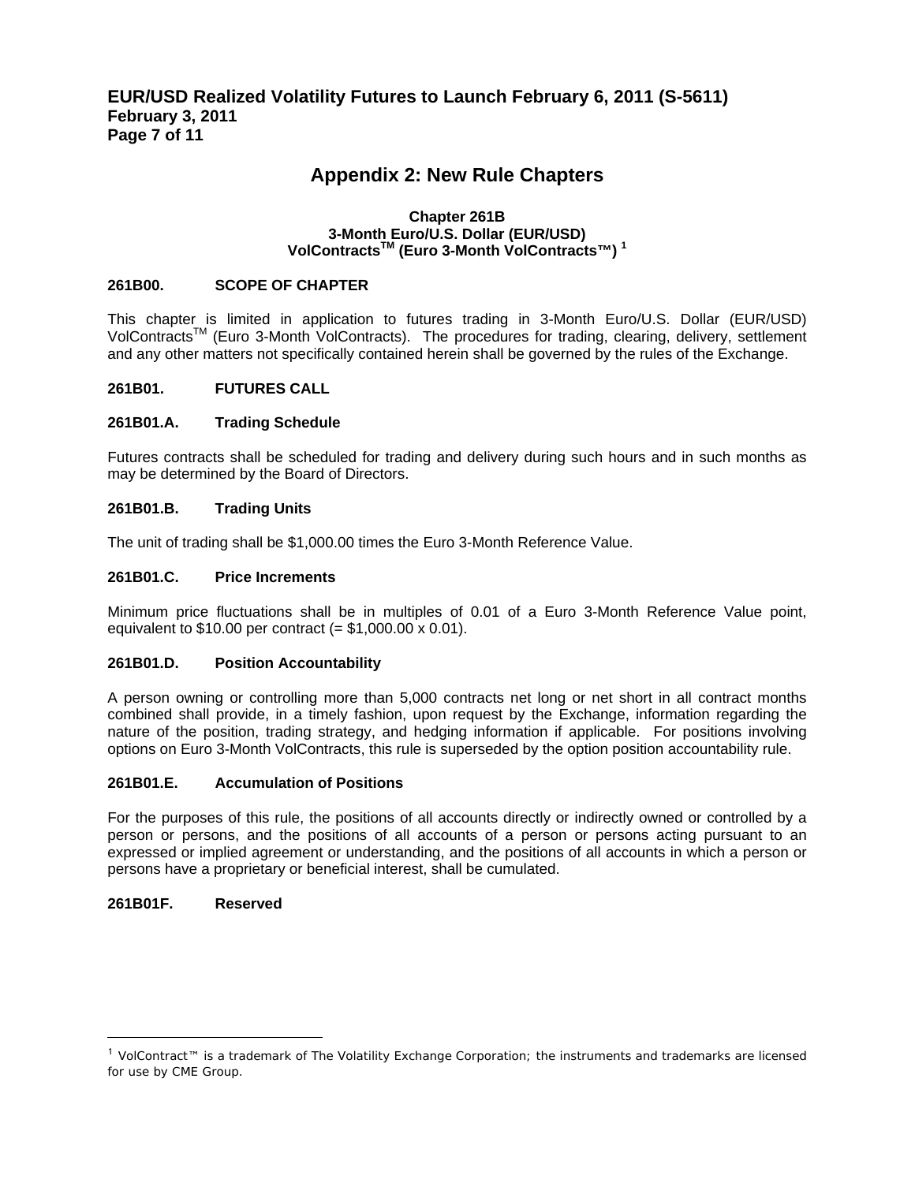## **Appendix 2: New Rule Chapters**

#### **Chapter 261B 3-Month Euro/U.S. Dollar (EUR/USD) VolContractsTM (Euro 3-Month VolContracts™) 1**

#### **261B00. SCOPE OF CHAPTER**

This chapter is limited in application to futures trading in 3-Month Euro/U.S. Dollar (EUR/USD) VolContracts<sup>™</sup> (Euro 3-Month VolContracts). The procedures for trading, clearing, delivery, settlement and any other matters not specifically contained herein shall be governed by the rules of the Exchange.

#### **261B01. FUTURES CALL**

#### **261B01.A. Trading Schedule**

Futures contracts shall be scheduled for trading and delivery during such hours and in such months as may be determined by the Board of Directors.

#### **261B01.B. Trading Units**

The unit of trading shall be \$1,000.00 times the Euro 3-Month Reference Value.

#### **261B01.C. Price Increments**

Minimum price fluctuations shall be in multiples of 0.01 of a Euro 3-Month Reference Value point, equivalent to  $$10.00$  per contract (=  $$1,000.00 \times 0.01$ ).

#### **261B01.D. Position Accountability**

A person owning or controlling more than 5,000 contracts net long or net short in all contract months combined shall provide, in a timely fashion, upon request by the Exchange, information regarding the nature of the position, trading strategy, and hedging information if applicable. For positions involving options on Euro 3-Month VolContracts, this rule is superseded by the option position accountability rule.

#### **261B01.E. Accumulation of Positions**

For the purposes of this rule, the positions of all accounts directly or indirectly owned or controlled by a person or persons, and the positions of all accounts of a person or persons acting pursuant to an expressed or implied agreement or understanding, and the positions of all accounts in which a person or persons have a proprietary or beneficial interest, shall be cumulated.

#### **261B01F. Reserved**

 $\overline{a}$ 

<sup>1</sup> VolContract™ is a trademark of The Volatility Exchange Corporation; the instruments and trademarks are licensed for use by CME Group.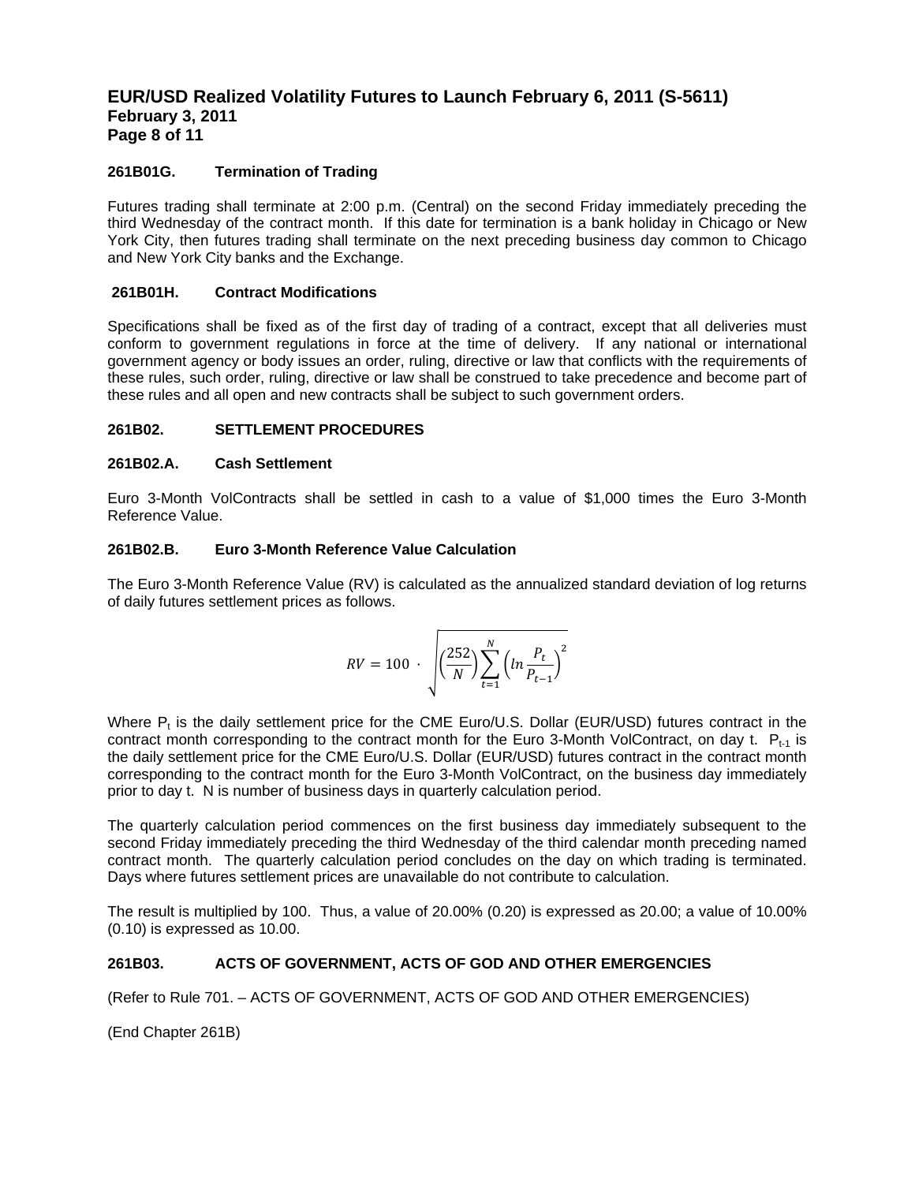### **EUR/USD Realized Volatility Futures to Launch February 6, 2011 (S-5611) February 3, 2011 Page 8 of 11**

#### **261B01G. Termination of Trading**

Futures trading shall terminate at 2:00 p.m. (Central) on the second Friday immediately preceding the third Wednesday of the contract month. If this date for termination is a bank holiday in Chicago or New York City, then futures trading shall terminate on the next preceding business day common to Chicago and New York City banks and the Exchange.

#### **261B01H. Contract Modifications**

Specifications shall be fixed as of the first day of trading of a contract, except that all deliveries must conform to government regulations in force at the time of delivery. If any national or international government agency or body issues an order, ruling, directive or law that conflicts with the requirements of these rules, such order, ruling, directive or law shall be construed to take precedence and become part of these rules and all open and new contracts shall be subject to such government orders.

#### **261B02. SETTLEMENT PROCEDURES**

#### **261B02.A. Cash Settlement**

Euro 3-Month VolContracts shall be settled in cash to a value of \$1,000 times the Euro 3-Month Reference Value.

#### **261B02.B. Euro 3-Month Reference Value Calculation**

The Euro 3-Month Reference Value (RV) is calculated as the annualized standard deviation of log returns of daily futures settlement prices as follows.

$$
RV = 100 \cdot \sqrt{\left(\frac{252}{N}\right) \sum_{t=1}^{N} \left(ln \frac{P_t}{P_{t-1}}\right)^2}
$$

Where  $P_t$  is the daily settlement price for the CME Euro/U.S. Dollar (EUR/USD) futures contract in the contract month corresponding to the contract month for the Euro 3-Month VolContract, on day t.  $P_{t-1}$  is the daily settlement price for the CME Euro/U.S. Dollar (EUR/USD) futures contract in the contract month corresponding to the contract month for the Euro 3-Month VolContract, on the business day immediately prior to day t. N is number of business days in quarterly calculation period.

The quarterly calculation period commences on the first business day immediately subsequent to the second Friday immediately preceding the third Wednesday of the third calendar month preceding named contract month. The quarterly calculation period concludes on the day on which trading is terminated. Days where futures settlement prices are unavailable do not contribute to calculation.

The result is multiplied by 100. Thus, a value of 20.00% (0.20) is expressed as 20.00; a value of 10.00% (0.10) is expressed as 10.00.

#### **261B03. ACTS OF GOVERNMENT, ACTS OF GOD AND OTHER EMERGENCIES**

(Refer to Rule 701. – ACTS OF GOVERNMENT, ACTS OF GOD AND OTHER EMERGENCIES)

(End Chapter 261B)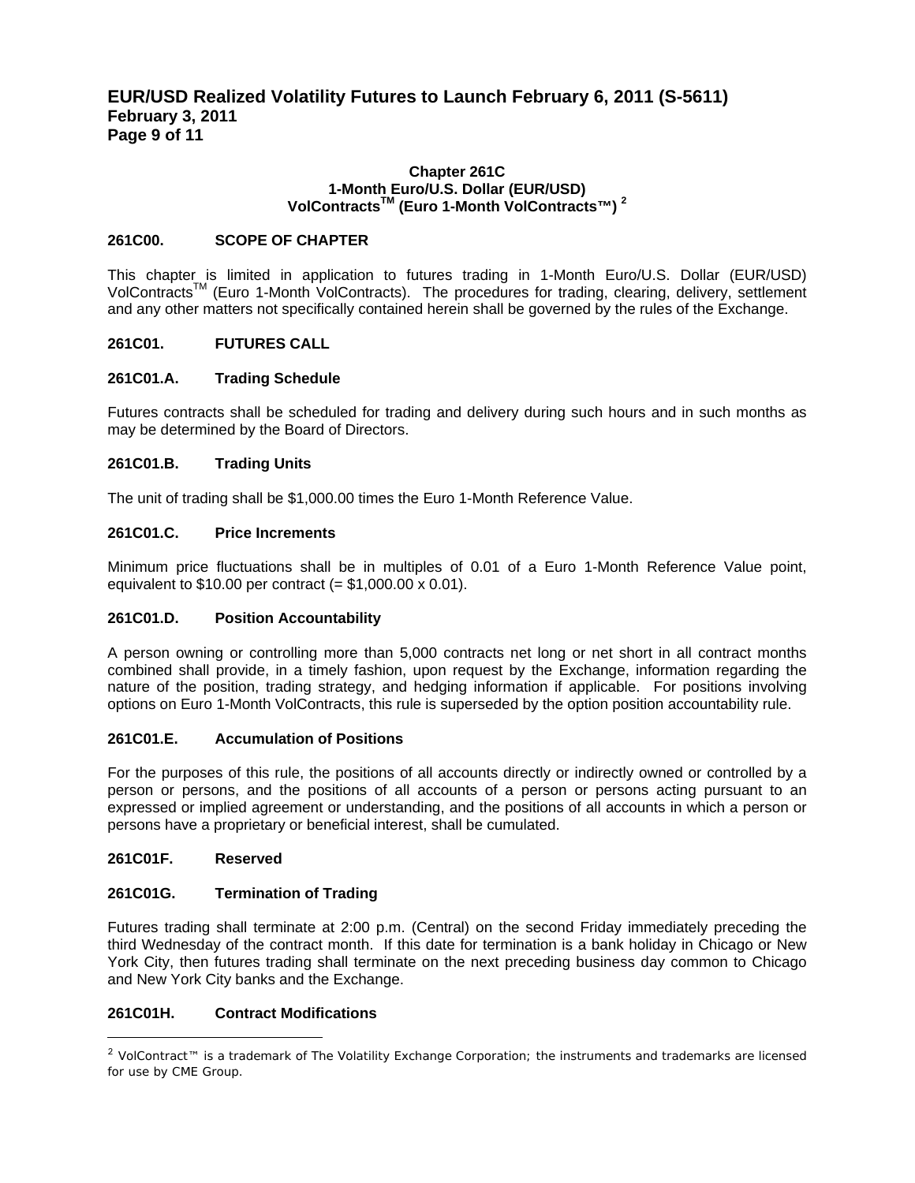### **EUR/USD Realized Volatility Futures to Launch February 6, 2011 (S-5611) February 3, 2011 Page 9 of 11**

#### **Chapter 261C 1-Month Euro/U.S. Dollar (EUR/USD) VolContractsTM (Euro 1-Month VolContracts™) 2**

#### **261C00. SCOPE OF CHAPTER**

This chapter is limited in application to futures trading in 1-Month Euro/U.S. Dollar (EUR/USD) VolContracts<sup>™</sup> (Euro 1-Month VolContracts). The procedures for trading, clearing, delivery, settlement and any other matters not specifically contained herein shall be governed by the rules of the Exchange.

#### **261C01. FUTURES CALL**

#### **261C01.A. Trading Schedule**

Futures contracts shall be scheduled for trading and delivery during such hours and in such months as may be determined by the Board of Directors.

#### **261C01.B. Trading Units**

The unit of trading shall be \$1,000.00 times the Euro 1-Month Reference Value.

#### **261C01.C. Price Increments**

Minimum price fluctuations shall be in multiples of 0.01 of a Euro 1-Month Reference Value point, equivalent to  $$10.00$  per contract (=  $$1,000.00 \times 0.01$ ).

#### **261C01.D. Position Accountability**

A person owning or controlling more than 5,000 contracts net long or net short in all contract months combined shall provide, in a timely fashion, upon request by the Exchange, information regarding the nature of the position, trading strategy, and hedging information if applicable. For positions involving options on Euro 1-Month VolContracts, this rule is superseded by the option position accountability rule.

#### **261C01.E. Accumulation of Positions**

For the purposes of this rule, the positions of all accounts directly or indirectly owned or controlled by a person or persons, and the positions of all accounts of a person or persons acting pursuant to an expressed or implied agreement or understanding, and the positions of all accounts in which a person or persons have a proprietary or beneficial interest, shall be cumulated.

#### **261C01F. Reserved**

 $\overline{a}$ 

#### **261C01G. Termination of Trading**

Futures trading shall terminate at 2:00 p.m. (Central) on the second Friday immediately preceding the third Wednesday of the contract month. If this date for termination is a bank holiday in Chicago or New York City, then futures trading shall terminate on the next preceding business day common to Chicago and New York City banks and the Exchange.

#### **261C01H. Contract Modifications**

<sup>&</sup>lt;sup>2</sup> VolContract™ is a trademark of The Volatility Exchange Corporation; the instruments and trademarks are licensed for use by CME Group.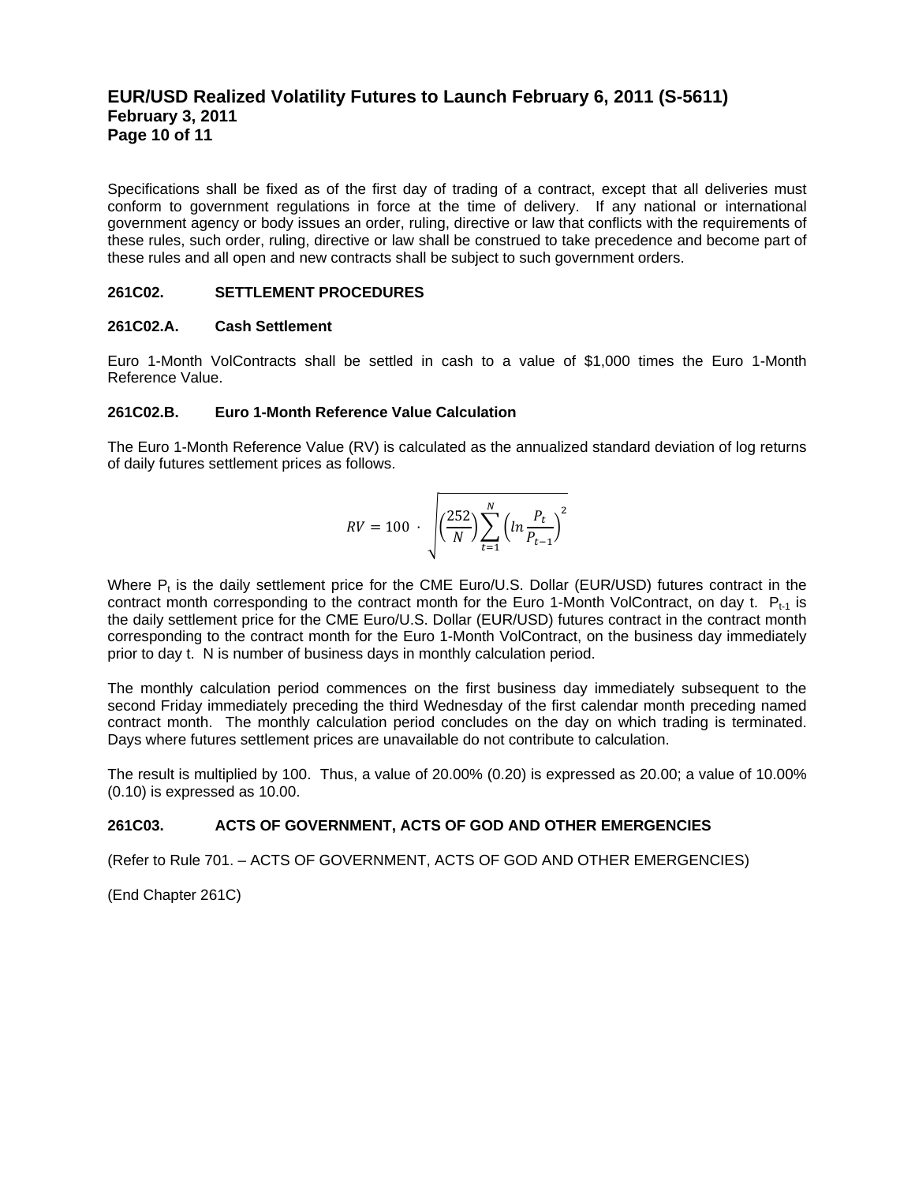## **EUR/USD Realized Volatility Futures to Launch February 6, 2011 (S-5611) February 3, 2011 Page 10 of 11**

Specifications shall be fixed as of the first day of trading of a contract, except that all deliveries must conform to government regulations in force at the time of delivery. If any national or international government agency or body issues an order, ruling, directive or law that conflicts with the requirements of these rules, such order, ruling, directive or law shall be construed to take precedence and become part of these rules and all open and new contracts shall be subject to such government orders.

#### **261C02. SETTLEMENT PROCEDURES**

#### **261C02.A. Cash Settlement**

Euro 1-Month VolContracts shall be settled in cash to a value of \$1,000 times the Euro 1-Month Reference Value.

#### **261C02.B. Euro 1-Month Reference Value Calculation**

The Euro 1-Month Reference Value (RV) is calculated as the annualized standard deviation of log returns of daily futures settlement prices as follows.

$$
RV = 100 \cdot \sqrt{\left(\frac{252}{N}\right) \sum_{t=1}^{N} \left(ln \frac{P_t}{P_{t-1}}\right)^2}
$$

Where  $P_t$  is the daily settlement price for the CME Euro/U.S. Dollar (EUR/USD) futures contract in the contract month corresponding to the contract month for the Euro 1-Month VolContract, on day t.  $P_{t-1}$  is the daily settlement price for the CME Euro/U.S. Dollar (EUR/USD) futures contract in the contract month corresponding to the contract month for the Euro 1-Month VolContract, on the business day immediately prior to day t. N is number of business days in monthly calculation period.

The monthly calculation period commences on the first business day immediately subsequent to the second Friday immediately preceding the third Wednesday of the first calendar month preceding named contract month. The monthly calculation period concludes on the day on which trading is terminated. Days where futures settlement prices are unavailable do not contribute to calculation.

The result is multiplied by 100. Thus, a value of 20.00% (0.20) is expressed as 20.00; a value of 10.00% (0.10) is expressed as 10.00.

#### **261C03. ACTS OF GOVERNMENT, ACTS OF GOD AND OTHER EMERGENCIES**

(Refer to Rule 701. – ACTS OF GOVERNMENT, ACTS OF GOD AND OTHER EMERGENCIES)

(End Chapter 261C)